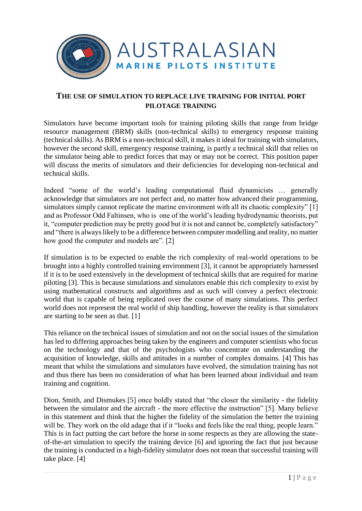

## **THE USE OF SIMULATION TO REPLACE LIVE TRAINING FOR INITIAL PORT PILOTAGE TRAINING**

Simulators have become important tools for training piloting skills that range from bridge resource management (BRM) skills (non-technical skills) to emergency response training (technical skills). As BRM is a non-technical skill, it makes it ideal for training with simulators, however the second skill, emergency response training, is partly a technical skill that relies on the simulator being able to predict forces that may or may not be correct. This position paper will discuss the merits of simulators and their deficiencies for developing non-technical and technical skills.

Indeed "some of the world's leading computational fluid dynamicists … generally acknowledge that simulators are not perfect and, no matter how advanced their programming, simulators simply cannot replicate the marine environment with all its chaotic complexity" [1] and as Professor Odd Faltinsen, who is one of the world's leading hydrodynamic theorists, put it, "computer prediction may be pretty good but it is not and cannot be, completely satisfactory" and "there is always likely to be a difference between computer modelling and reality, no matter how good the computer and models are". [2]

If simulation is to be expected to enable the rich complexity of real-world operations to be brought into a highly controlled training environment [3], it cannot be appropriately harnessed if it is to be used extensively in the development of technical skills that are required for marine piloting [3]. This is because simulations and simulators enable this rich complexity to exist by using mathematical constructs and algorithms and as such will convey a perfect electronic world that is capable of being replicated over the course of many simulations. This perfect world does not represent the real world of ship handling, however the reality is that simulators are starting to be seen as that. [1]

This reliance on the technical issues of simulation and not on the social issues of the simulation has led to differing approaches being taken by the engineers and computer scientists who focus on the technology and that of the psychologists who concentrate on understanding the acquisition of knowledge, skills and attitudes in a number of complex domains. [4] This has meant that whilst the simulations and simulators have evolved, the simulation training has not and thus there has been no consideration of what has been learned about individual and team training and cognition.

Dion, Smith, and Dismukes [5] once boldly stated that "the closer the similarity - the fidelity between the simulator and the aircraft - the more effective the instruction" [5]. Many believe in this statement and think that the higher the fidelity of the simulation the better the training will be. They work on the old adage that if it "looks and feels like the real thing, people learn." This is in fact putting the cart before the horse in some respects as they are allowing the stateof-the-art simulation to specify the training device [6] and ignoring the fact that just because the training is conducted in a high-fidelity simulator does not mean that successful training will take place. [4]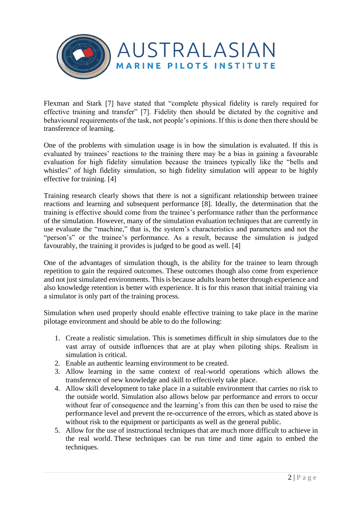

Flexman and Stark [7] have stated that "complete physical fidelity is rarely required for effective training and transfer" [7]. Fidelity then should be dictated by the cognitive and behavioural requirements of the task, not people's opinions. If this is done then there should be transference of learning.

One of the problems with simulation usage is in how the simulation is evaluated. If this is evaluated by trainees' reactions to the training there may be a bias in gaining a favourable evaluation for high fidelity simulation because the trainees typically like the "bells and whistles" of high fidelity simulation, so high fidelity simulation will appear to be highly effective for training. [4]

Training research clearly shows that there is not a significant relationship between trainee reactions and learning and subsequent performance [8]. Ideally, the determination that the training is effective should come from the trainee's performance rather than the performance of the simulation. However, many of the simulation evaluation techniques that are currently in use evaluate the "machine," that is, the system's characteristics and parameters and not the "person's" or the trainee's performance. As a result, because the simulation is judged favourably, the training it provides is judged to be good as well. [4]

One of the advantages of simulation though, is the ability for the trainee to learn through repetition to gain the required outcomes. These outcomes though also come from experience and not just simulated environments. This is because adults learn better through experience and also knowledge retention is better with experience. It is for this reason that initial training via a simulator is only part of the training process.

Simulation when used properly should enable effective training to take place in the marine pilotage environment and should be able to do the following:

- 1. Create a realistic simulation. This is sometimes difficult in ship simulators due to the vast array of outside influences that are at play when piloting ships. Realism in simulation is critical.
- 2. Enable an authentic learning environment to be created.
- 3. Allow learning in the same context of real-world operations which allows the transference of new knowledge and skill to effectively take place.
- 4. Allow skill development to take place in a suitable environment that carries no risk to the outside world. Simulation also allows below par performance and errors to occur without fear of consequence and the learning's from this can then be used to raise the performance level and prevent the re-occurrence of the errors, which as stated above is without risk to the equipment or participants as well as the general public.
- 5. Allow for the use of instructional techniques that are much more difficult to achieve in the real world. These techniques can be run time and time again to embed the techniques.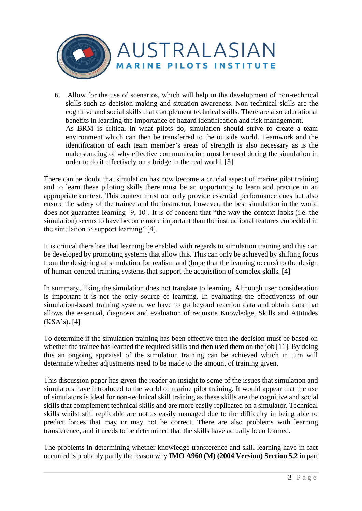

6. Allow for the use of scenarios, which will help in the development of non-technical skills such as decision-making and situation awareness. Non-technical skills are the cognitive and social skills that complement technical skills. There are also educational benefits in learning the importance of hazard identification and risk management. As BRM is critical in what pilots do, simulation should strive to create a team environment which can then be transferred to the outside world. Teamwork and the identification of each team member's areas of strength is also necessary as is the understanding of why effective communication must be used during the simulation in order to do it effectively on a bridge in the real world. [3]

There can be doubt that simulation has now become a crucial aspect of marine pilot training and to learn these piloting skills there must be an opportunity to learn and practice in an appropriate context. This context must not only provide essential performance cues but also ensure the safety of the trainee and the instructor, however, the best simulation in the world does not guarantee learning [9, 10]. It is of concern that "the way the context looks (i.e. the simulation) seems to have become more important than the instructional features embedded in the simulation to support learning" [4].

It is critical therefore that learning be enabled with regards to simulation training and this can be developed by promoting systems that allow this. This can only be achieved by shifting focus from the designing of simulation for realism and (hope that the learning occurs) to the design of human-centred training systems that support the acquisition of complex skills. [4]

In summary, liking the simulation does not translate to learning. Although user consideration is important it is not the only source of learning. In evaluating the effectiveness of our simulation-based training system, we have to go beyond reaction data and obtain data that allows the essential, diagnosis and evaluation of requisite Knowledge, Skills and Attitudes (KSA's). [4]

To determine if the simulation training has been effective then the decision must be based on whether the trainee has learned the required skills and then used them on the job [11]. By doing this an ongoing appraisal of the simulation training can be achieved which in turn will determine whether adjustments need to be made to the amount of training given.

This discussion paper has given the reader an insight to some of the issues that simulation and simulators have introduced to the world of marine pilot training. It would appear that the use of simulators is ideal for non-technical skill training as these skills are the cognitive and social skills that complement technical skills and are more easily replicated on a simulator. Technical skills whilst still replicable are not as easily managed due to the difficulty in being able to predict forces that may or may not be correct. There are also problems with learning transference, and it needs to be determined that the skills have actually been learned.

The problems in determining whether knowledge transference and skill learning have in fact occurred is probably partly the reason why **IMO A960 (M) (2004 Version) Section 5.2** in part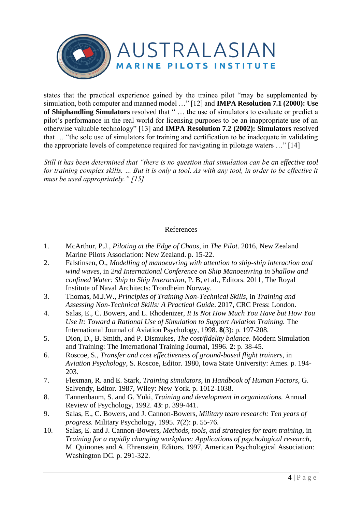

states that the practical experience gained by the trainee pilot "may be supplemented by simulation, both computer and manned model …" [12] and **IMPA Resolution 7.1 (2000): Use of Shiphandling Simulators** resolved that " … the use of simulators to evaluate or predict a pilot's performance in the real world for licensing purposes to be an inappropriate use of an otherwise valuable technology" [13] and **IMPA Resolution 7.2 (2002): Simulators** resolved that … "the sole use of simulators for training and certification to be inadequate in validating the appropriate levels of competence required for navigating in pilotage waters …" [14]

*Still it has been determined that "there is no question that simulation can be an effective tool for training complex skills. … But it is only a tool. As with any tool, in order to be effective it must be used appropriately." [15]* 

## References

- 1. McArthur, P.J., *Piloting at the Edge of Chaos*, in *The Pilot*. 2016, New Zealand Marine Pilots Association: New Zealand. p. 15-22.
- 2. Falstinsen, O., *Modelling of manoeuvring with attention to ship-ship interaction and wind waves*, in *2nd International Conference on Ship Manoeuvring in Shallow and confined Water: Ship to Ship Interaction*, P. B, et al., Editors. 2011, The Royal Institute of Naval Architects: Trondheim Norway.
- 3. Thomas, M.J.W., *Principles of Training Non-Technical Skills*, in *Training and Assessing Non-Technical Skills: A Practical Guide*. 2017, CRC Press: London.
- 4. Salas, E., C. Bowers, and L. Rhodenizer, *It Is Not How Much You Have but How You Use It: Toward a Rational Use of Simulation to Support Aviation Training.* The International Journal of Aviation Psychology, 1998. **8**(3): p. 197-208.
- 5. Dion, D., B. Smith, and P. Dismukes, *The cost/fidelity balance.* Modern Simulation and Training: The International Training Journal, 1996. **2**: p. 38-45.
- 6. Roscoe, S., *Transfer and cost effectiveness of ground-based flight trainers*, in *Aviation Psychology*, S. Roscoe, Editor. 1980, Iowa State University: Ames. p. 194- 203.
- 7. Flexman, R. and E. Stark, *Training simulators*, in *Handbook of Human Factors*, G. Salvendy, Editor. 1987, Wiley: New York. p. 1012-1038.
- 8. Tannenbaum, S. and G. Yuki, *Training and development in organizations.* Annual Review of Psychology, 1992. **43**: p. 399-441.
- 9. Salas, E., C. Bowers, and J. Cannon-Bowers, *Military team research: Ten years of progress.* Military Psychology, 1995. **7**(2): p. 55-76.
- 10. Salas, E. and J. Cannon-Bowers, *Methods, tools, and strategies for team training*, in *Training for a rapidly changing workplace: Applications of psychological research*, M. Quinones and A. Ehrenstein, Editors. 1997, American Psychological Association: Washington DC. p. 291-322.